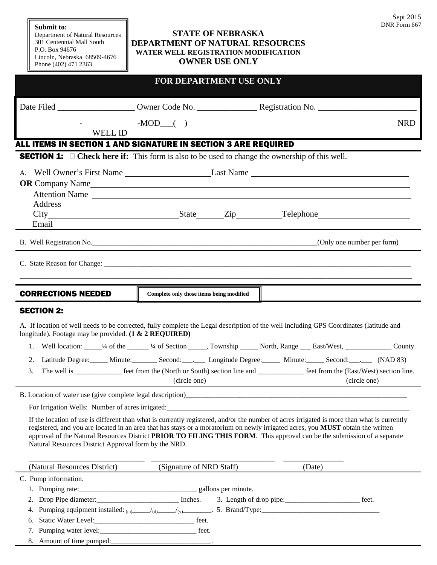## **Submit to:**

Department of Natural Resources 301 Centennial Mall South P.O. Box 94676 Lincoln, Nebraska 68509-4676 Phone (402) 471 2363

## **STATE OF NEBRASKA DEPARTMENT OF NATURAL RESOURCES WATER WELL REGISTRATION MODIFICATION OWNER USE ONLY**

| <b>FOR DEPARTMENT USE ONLY</b>                                                                                                                                                                                                                                                                                     |                                          |                                                                                                                       |  |                                                             |              |  |
|--------------------------------------------------------------------------------------------------------------------------------------------------------------------------------------------------------------------------------------------------------------------------------------------------------------------|------------------------------------------|-----------------------------------------------------------------------------------------------------------------------|--|-------------------------------------------------------------|--------------|--|
|                                                                                                                                                                                                                                                                                                                    |                                          |                                                                                                                       |  |                                                             |              |  |
| $\begin{array}{cccc} - & \text{MOD} & ( & ) \end{array}$                                                                                                                                                                                                                                                           |                                          | <u> 1980 - Jan Barbara Barat, martin da basar da basar da basar da basar da basar da basar da basar da basar da b</u> |  |                                                             | <b>NRD</b>   |  |
| WELL ID                                                                                                                                                                                                                                                                                                            |                                          |                                                                                                                       |  |                                                             |              |  |
| ALL ITEMS IN SECTION 1 AND SIGNATURE IN SECTION 3 ARE REQUIRED                                                                                                                                                                                                                                                     |                                          |                                                                                                                       |  |                                                             |              |  |
| <b>SECTION 1:</b> $\Box$ Check here if: This form is also to be used to change the ownership of this well.                                                                                                                                                                                                         |                                          |                                                                                                                       |  |                                                             |              |  |
| A. Well Owner's First Name Last Name Last Name                                                                                                                                                                                                                                                                     |                                          |                                                                                                                       |  |                                                             |              |  |
|                                                                                                                                                                                                                                                                                                                    |                                          |                                                                                                                       |  |                                                             |              |  |
| Attention Name                                                                                                                                                                                                                                                                                                     |                                          |                                                                                                                       |  |                                                             |              |  |
|                                                                                                                                                                                                                                                                                                                    |                                          |                                                                                                                       |  |                                                             |              |  |
| Email <u>contract and the second contract of the second contract of the second contract of the second contract of the second contract of the second contract of the second contract of the second contract of the second contrac</u>                                                                               |                                          |                                                                                                                       |  |                                                             |              |  |
|                                                                                                                                                                                                                                                                                                                    |                                          |                                                                                                                       |  |                                                             |              |  |
|                                                                                                                                                                                                                                                                                                                    |                                          |                                                                                                                       |  |                                                             |              |  |
| <b>CORRECTIONS NEEDED</b>                                                                                                                                                                                                                                                                                          | Complete only those items being modified |                                                                                                                       |  |                                                             |              |  |
| <b>SECTION 2:</b>                                                                                                                                                                                                                                                                                                  |                                          |                                                                                                                       |  |                                                             |              |  |
| A. If location of well needs to be corrected, fully complete the Legal description of the well including GPS Coordinates (latitude and<br>longitude). Footage may be provided. (1 & 2 REQUIRED)                                                                                                                    |                                          |                                                                                                                       |  |                                                             |              |  |
| Well location: ______1/4 of the _______1/4 of Section ______, Township ______ North, Range ____ East/West, _______________ County.<br>1.                                                                                                                                                                           |                                          |                                                                                                                       |  |                                                             |              |  |
| Latitude Degree: Minute: Second: Second: Longitude Degree: Minute: Second: (NAD 83)<br>2.                                                                                                                                                                                                                          |                                          |                                                                                                                       |  |                                                             |              |  |
| The well is ______________ feet from the (North or South) section line and ______________ feet from the (East/West) section line.<br>3.                                                                                                                                                                            | (circle one)                             |                                                                                                                       |  |                                                             | (circle one) |  |
|                                                                                                                                                                                                                                                                                                                    |                                          |                                                                                                                       |  |                                                             |              |  |
| B. Location of water use (give complete legal description)                                                                                                                                                                                                                                                         |                                          |                                                                                                                       |  |                                                             |              |  |
| If the location of use is different than what is currently registered, and/or the number of acres irrigated is more than what is currently                                                                                                                                                                         |                                          |                                                                                                                       |  |                                                             |              |  |
| registered, and you are located in an area that has stays or a moratorium on newly irrigated acres, you MUST obtain the written<br>approval of the Natural Resources District PRIOR TO FILING THIS FORM. This approval can be the submission of a separate<br>Natural Resources District Approval form by the NRD. |                                          |                                                                                                                       |  |                                                             |              |  |
| (Natural Resources District)                                                                                                                                                                                                                                                                                       | (Signature of NRD Staff)                 |                                                                                                                       |  | (Date)                                                      |              |  |
| C. Pump information.                                                                                                                                                                                                                                                                                               |                                          |                                                                                                                       |  |                                                             |              |  |
|                                                                                                                                                                                                                                                                                                                    |                                          |                                                                                                                       |  |                                                             |              |  |
| Drop Pipe diameter:______________________________ Inches.<br>2.<br>4. Pumping equipment installed: $_{(m)}$ /(d) /(d) 5. Brand/Type:                                                                                                                                                                               |                                          |                                                                                                                       |  | 3. Length of drop pipe:______________________________ feet. |              |  |
|                                                                                                                                                                                                                                                                                                                    |                                          |                                                                                                                       |  |                                                             |              |  |

6. Static Water Level:\_\_\_\_\_\_\_\_\_\_\_\_\_\_\_\_\_\_\_\_\_\_\_\_\_\_\_\_ feet.

7. Pumping water level:\_\_\_\_\_\_\_\_\_\_\_\_\_\_\_\_\_\_\_\_\_\_\_\_\_\_\_ feet.

8. Amount of time pumped: